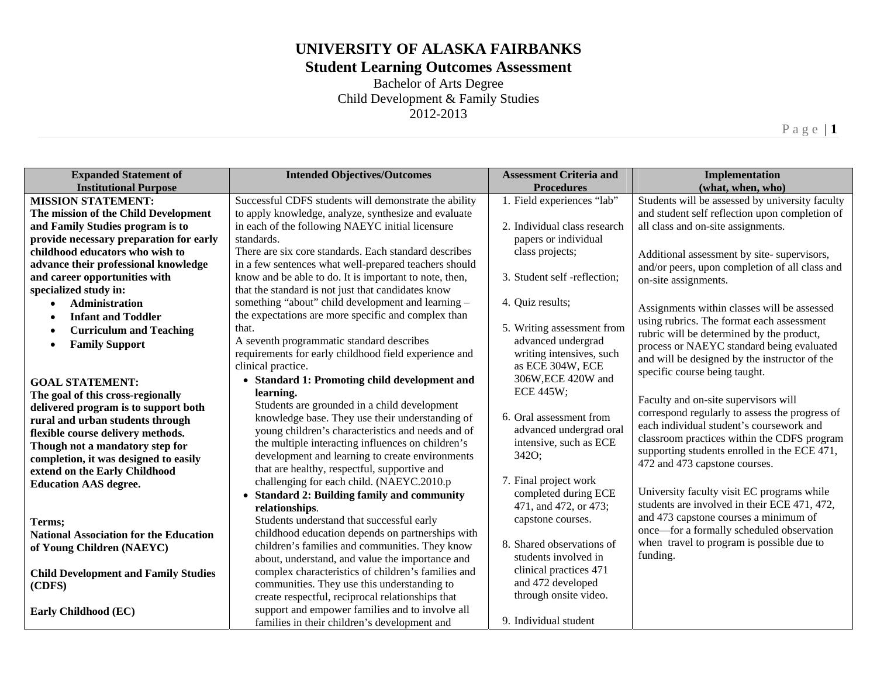#### **Student Learning Outcomes Assessment**

Bachelor of Arts Degree Child Development & Family Studies 2012-2013

Page | **1** 

**Expanded Statement of Institutional Purpose Intended Objectives/Outcomes** Assessment Criteria and **Procedures Implementation (what, when, who) MISSION STATEMENT: The mission of the Child Development and Family Studies program is to provide necessary preparation for early childhood educators who wish to advance their professional knowledge and career opportunities with specialized study in: Administration**  . **Infant and Toddler**  . **Curriculum and Teaching**  . **Family Support GOAL STATEMENT: The goal of this cross-regionally delivered program is to support both rural and urban students through flexible course delivery methods. Though not a mandatory step for completion, it was designed to easily extend on the Early Childhood Education AAS degree. Terms; National Association for the Education of Young Children (NAEYC) Child Development and Family Studies (CDFS) Early Childhood (EC)**  Successful CDFS students will demonstrate the ability to apply knowledge, analyze, synthesize and evaluate in each of the following NAEYC initial licensure standards. There are six core standards. Each standard describes in a few sentences what well-prepared teachers should know and be able to do. It is important to note, then, that the standard is not just that candidates know something "about" child development and learning – the expectations are more specific and complex than that. A seventh programmatic standard describes requirements for early childhood field experience and clinical practice. **Standard 1: Promoting child development and learning.**  Students are grounded in a child development knowledge base. They use their understanding of young children's characteristics and needs and of the multiple interacting influences on children's development and learning to create environments that are healthy, respectful, supportive and challenging for each child. (NAEYC.2010.p **Standard 2: Building family and community relationships**. Students understand that successful early childhood education depends on partnerships with children's families and communities. They know about, understand, and value the importance and complex characteristics of children's families and communities. They use this understanding to create respectful, reciprocal relationships that support and empower families and to involve all families in their children's development and 1. Field experiences "lab" 2. Individual class research papers or individual class projects; 3. Student self -reflection; 4. Quiz results; 5. Writing assessment from advanced undergrad writing intensives, such as ECE 304W, ECE 306W,ECE 420W and ECE 445W; 6. Oral assessment from advanced undergrad oral intensive, such as ECE 342O; 7. Final project work completed during ECE 471, and 472, or 473; capstone courses. 8. Shared observations of students involved in clinical practices 471 and 472 developed through onsite video. 9. Individual student Students will be assessed by university faculty and student self reflection upon completion of all class and on-site assignments. Additional assessment by site- supervisors, and/or peers, upon completion of all class and on-site assignments. Assignments within classes will be assessed using rubrics. The format each assessment rubric will be determined by the product, process or NAEYC standard being evaluated and will be designed by the instructor of the specific course being taught. Faculty and on-site supervisors will correspond regularly to assess the progress of each individual student's coursework and classroom practices within the CDFS program supporting students enrolled in the ECE 471, 472 and 473 capstone courses. University faculty visit EC programs while students are involved in their ECE 471, 472, and 473 capstone courses a minimum of once—for a formally scheduled observation when travel to program is possible due to funding.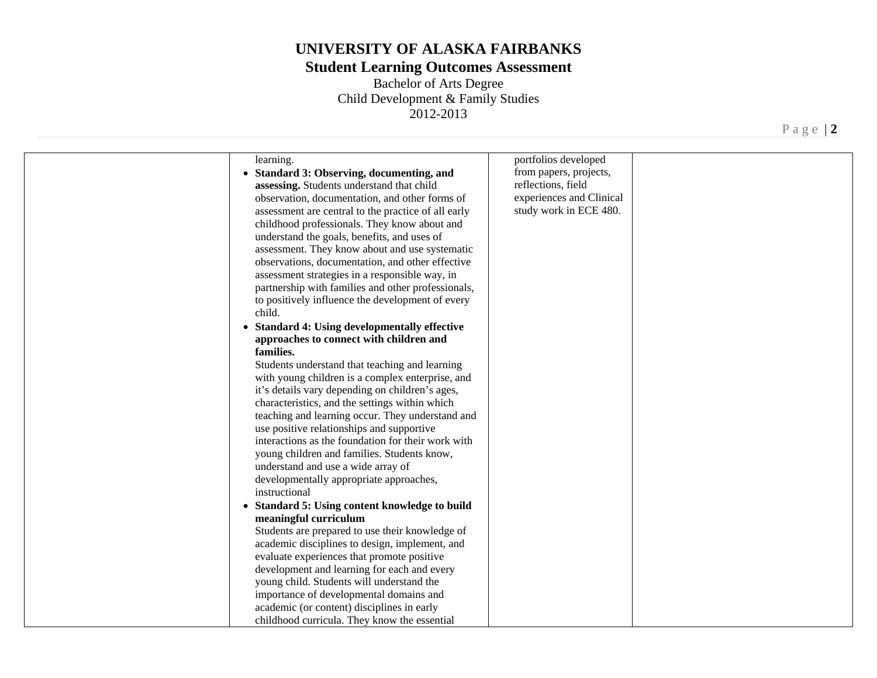## **Student Learning Outcomes Assessment**

Bachelor of Arts Degree Child Development & Family Studies 2012-2013

| portfolios developed<br>learning.<br>from papers, projects,<br>• Standard 3: Observing, documenting, and<br>reflections, field<br>assessing. Students understand that child<br>experiences and Clinical<br>observation, documentation, and other forms of<br>study work in ECE 480.<br>assessment are central to the practice of all early<br>childhood professionals. They know about and<br>understand the goals, benefits, and uses of<br>assessment. They know about and use systematic<br>observations, documentation, and other effective<br>assessment strategies in a responsible way, in<br>partnership with families and other professionals,<br>to positively influence the development of every<br>child.<br>• Standard 4: Using developmentally effective<br>approaches to connect with children and<br>families.<br>Students understand that teaching and learning<br>with young children is a complex enterprise, and<br>it's details vary depending on children's ages,<br>characteristics, and the settings within which<br>teaching and learning occur. They understand and<br>use positive relationships and supportive<br>interactions as the foundation for their work with<br>young children and families. Students know,<br>understand and use a wide array of<br>developmentally appropriate approaches,<br>instructional<br>• Standard 5: Using content knowledge to build<br>meaningful curriculum<br>Students are prepared to use their knowledge of<br>academic disciplines to design, implement, and<br>evaluate experiences that promote positive<br>development and learning for each and every<br>young child. Students will understand the<br>importance of developmental domains and<br>academic (or content) disciplines in early<br>childhood curricula. They know the essential |  |  |
|----------------------------------------------------------------------------------------------------------------------------------------------------------------------------------------------------------------------------------------------------------------------------------------------------------------------------------------------------------------------------------------------------------------------------------------------------------------------------------------------------------------------------------------------------------------------------------------------------------------------------------------------------------------------------------------------------------------------------------------------------------------------------------------------------------------------------------------------------------------------------------------------------------------------------------------------------------------------------------------------------------------------------------------------------------------------------------------------------------------------------------------------------------------------------------------------------------------------------------------------------------------------------------------------------------------------------------------------------------------------------------------------------------------------------------------------------------------------------------------------------------------------------------------------------------------------------------------------------------------------------------------------------------------------------------------------------------------------------------------------------------------------------------------------------------------------|--|--|
|                                                                                                                                                                                                                                                                                                                                                                                                                                                                                                                                                                                                                                                                                                                                                                                                                                                                                                                                                                                                                                                                                                                                                                                                                                                                                                                                                                                                                                                                                                                                                                                                                                                                                                                                                                                                                      |  |  |
|                                                                                                                                                                                                                                                                                                                                                                                                                                                                                                                                                                                                                                                                                                                                                                                                                                                                                                                                                                                                                                                                                                                                                                                                                                                                                                                                                                                                                                                                                                                                                                                                                                                                                                                                                                                                                      |  |  |
|                                                                                                                                                                                                                                                                                                                                                                                                                                                                                                                                                                                                                                                                                                                                                                                                                                                                                                                                                                                                                                                                                                                                                                                                                                                                                                                                                                                                                                                                                                                                                                                                                                                                                                                                                                                                                      |  |  |
|                                                                                                                                                                                                                                                                                                                                                                                                                                                                                                                                                                                                                                                                                                                                                                                                                                                                                                                                                                                                                                                                                                                                                                                                                                                                                                                                                                                                                                                                                                                                                                                                                                                                                                                                                                                                                      |  |  |
|                                                                                                                                                                                                                                                                                                                                                                                                                                                                                                                                                                                                                                                                                                                                                                                                                                                                                                                                                                                                                                                                                                                                                                                                                                                                                                                                                                                                                                                                                                                                                                                                                                                                                                                                                                                                                      |  |  |
|                                                                                                                                                                                                                                                                                                                                                                                                                                                                                                                                                                                                                                                                                                                                                                                                                                                                                                                                                                                                                                                                                                                                                                                                                                                                                                                                                                                                                                                                                                                                                                                                                                                                                                                                                                                                                      |  |  |
|                                                                                                                                                                                                                                                                                                                                                                                                                                                                                                                                                                                                                                                                                                                                                                                                                                                                                                                                                                                                                                                                                                                                                                                                                                                                                                                                                                                                                                                                                                                                                                                                                                                                                                                                                                                                                      |  |  |
|                                                                                                                                                                                                                                                                                                                                                                                                                                                                                                                                                                                                                                                                                                                                                                                                                                                                                                                                                                                                                                                                                                                                                                                                                                                                                                                                                                                                                                                                                                                                                                                                                                                                                                                                                                                                                      |  |  |
|                                                                                                                                                                                                                                                                                                                                                                                                                                                                                                                                                                                                                                                                                                                                                                                                                                                                                                                                                                                                                                                                                                                                                                                                                                                                                                                                                                                                                                                                                                                                                                                                                                                                                                                                                                                                                      |  |  |
|                                                                                                                                                                                                                                                                                                                                                                                                                                                                                                                                                                                                                                                                                                                                                                                                                                                                                                                                                                                                                                                                                                                                                                                                                                                                                                                                                                                                                                                                                                                                                                                                                                                                                                                                                                                                                      |  |  |
|                                                                                                                                                                                                                                                                                                                                                                                                                                                                                                                                                                                                                                                                                                                                                                                                                                                                                                                                                                                                                                                                                                                                                                                                                                                                                                                                                                                                                                                                                                                                                                                                                                                                                                                                                                                                                      |  |  |
|                                                                                                                                                                                                                                                                                                                                                                                                                                                                                                                                                                                                                                                                                                                                                                                                                                                                                                                                                                                                                                                                                                                                                                                                                                                                                                                                                                                                                                                                                                                                                                                                                                                                                                                                                                                                                      |  |  |
|                                                                                                                                                                                                                                                                                                                                                                                                                                                                                                                                                                                                                                                                                                                                                                                                                                                                                                                                                                                                                                                                                                                                                                                                                                                                                                                                                                                                                                                                                                                                                                                                                                                                                                                                                                                                                      |  |  |
|                                                                                                                                                                                                                                                                                                                                                                                                                                                                                                                                                                                                                                                                                                                                                                                                                                                                                                                                                                                                                                                                                                                                                                                                                                                                                                                                                                                                                                                                                                                                                                                                                                                                                                                                                                                                                      |  |  |
|                                                                                                                                                                                                                                                                                                                                                                                                                                                                                                                                                                                                                                                                                                                                                                                                                                                                                                                                                                                                                                                                                                                                                                                                                                                                                                                                                                                                                                                                                                                                                                                                                                                                                                                                                                                                                      |  |  |
|                                                                                                                                                                                                                                                                                                                                                                                                                                                                                                                                                                                                                                                                                                                                                                                                                                                                                                                                                                                                                                                                                                                                                                                                                                                                                                                                                                                                                                                                                                                                                                                                                                                                                                                                                                                                                      |  |  |
|                                                                                                                                                                                                                                                                                                                                                                                                                                                                                                                                                                                                                                                                                                                                                                                                                                                                                                                                                                                                                                                                                                                                                                                                                                                                                                                                                                                                                                                                                                                                                                                                                                                                                                                                                                                                                      |  |  |
|                                                                                                                                                                                                                                                                                                                                                                                                                                                                                                                                                                                                                                                                                                                                                                                                                                                                                                                                                                                                                                                                                                                                                                                                                                                                                                                                                                                                                                                                                                                                                                                                                                                                                                                                                                                                                      |  |  |
|                                                                                                                                                                                                                                                                                                                                                                                                                                                                                                                                                                                                                                                                                                                                                                                                                                                                                                                                                                                                                                                                                                                                                                                                                                                                                                                                                                                                                                                                                                                                                                                                                                                                                                                                                                                                                      |  |  |
|                                                                                                                                                                                                                                                                                                                                                                                                                                                                                                                                                                                                                                                                                                                                                                                                                                                                                                                                                                                                                                                                                                                                                                                                                                                                                                                                                                                                                                                                                                                                                                                                                                                                                                                                                                                                                      |  |  |
|                                                                                                                                                                                                                                                                                                                                                                                                                                                                                                                                                                                                                                                                                                                                                                                                                                                                                                                                                                                                                                                                                                                                                                                                                                                                                                                                                                                                                                                                                                                                                                                                                                                                                                                                                                                                                      |  |  |
|                                                                                                                                                                                                                                                                                                                                                                                                                                                                                                                                                                                                                                                                                                                                                                                                                                                                                                                                                                                                                                                                                                                                                                                                                                                                                                                                                                                                                                                                                                                                                                                                                                                                                                                                                                                                                      |  |  |
|                                                                                                                                                                                                                                                                                                                                                                                                                                                                                                                                                                                                                                                                                                                                                                                                                                                                                                                                                                                                                                                                                                                                                                                                                                                                                                                                                                                                                                                                                                                                                                                                                                                                                                                                                                                                                      |  |  |
|                                                                                                                                                                                                                                                                                                                                                                                                                                                                                                                                                                                                                                                                                                                                                                                                                                                                                                                                                                                                                                                                                                                                                                                                                                                                                                                                                                                                                                                                                                                                                                                                                                                                                                                                                                                                                      |  |  |
|                                                                                                                                                                                                                                                                                                                                                                                                                                                                                                                                                                                                                                                                                                                                                                                                                                                                                                                                                                                                                                                                                                                                                                                                                                                                                                                                                                                                                                                                                                                                                                                                                                                                                                                                                                                                                      |  |  |
|                                                                                                                                                                                                                                                                                                                                                                                                                                                                                                                                                                                                                                                                                                                                                                                                                                                                                                                                                                                                                                                                                                                                                                                                                                                                                                                                                                                                                                                                                                                                                                                                                                                                                                                                                                                                                      |  |  |
|                                                                                                                                                                                                                                                                                                                                                                                                                                                                                                                                                                                                                                                                                                                                                                                                                                                                                                                                                                                                                                                                                                                                                                                                                                                                                                                                                                                                                                                                                                                                                                                                                                                                                                                                                                                                                      |  |  |
|                                                                                                                                                                                                                                                                                                                                                                                                                                                                                                                                                                                                                                                                                                                                                                                                                                                                                                                                                                                                                                                                                                                                                                                                                                                                                                                                                                                                                                                                                                                                                                                                                                                                                                                                                                                                                      |  |  |
|                                                                                                                                                                                                                                                                                                                                                                                                                                                                                                                                                                                                                                                                                                                                                                                                                                                                                                                                                                                                                                                                                                                                                                                                                                                                                                                                                                                                                                                                                                                                                                                                                                                                                                                                                                                                                      |  |  |
|                                                                                                                                                                                                                                                                                                                                                                                                                                                                                                                                                                                                                                                                                                                                                                                                                                                                                                                                                                                                                                                                                                                                                                                                                                                                                                                                                                                                                                                                                                                                                                                                                                                                                                                                                                                                                      |  |  |
|                                                                                                                                                                                                                                                                                                                                                                                                                                                                                                                                                                                                                                                                                                                                                                                                                                                                                                                                                                                                                                                                                                                                                                                                                                                                                                                                                                                                                                                                                                                                                                                                                                                                                                                                                                                                                      |  |  |
|                                                                                                                                                                                                                                                                                                                                                                                                                                                                                                                                                                                                                                                                                                                                                                                                                                                                                                                                                                                                                                                                                                                                                                                                                                                                                                                                                                                                                                                                                                                                                                                                                                                                                                                                                                                                                      |  |  |
|                                                                                                                                                                                                                                                                                                                                                                                                                                                                                                                                                                                                                                                                                                                                                                                                                                                                                                                                                                                                                                                                                                                                                                                                                                                                                                                                                                                                                                                                                                                                                                                                                                                                                                                                                                                                                      |  |  |
|                                                                                                                                                                                                                                                                                                                                                                                                                                                                                                                                                                                                                                                                                                                                                                                                                                                                                                                                                                                                                                                                                                                                                                                                                                                                                                                                                                                                                                                                                                                                                                                                                                                                                                                                                                                                                      |  |  |
|                                                                                                                                                                                                                                                                                                                                                                                                                                                                                                                                                                                                                                                                                                                                                                                                                                                                                                                                                                                                                                                                                                                                                                                                                                                                                                                                                                                                                                                                                                                                                                                                                                                                                                                                                                                                                      |  |  |
|                                                                                                                                                                                                                                                                                                                                                                                                                                                                                                                                                                                                                                                                                                                                                                                                                                                                                                                                                                                                                                                                                                                                                                                                                                                                                                                                                                                                                                                                                                                                                                                                                                                                                                                                                                                                                      |  |  |
|                                                                                                                                                                                                                                                                                                                                                                                                                                                                                                                                                                                                                                                                                                                                                                                                                                                                                                                                                                                                                                                                                                                                                                                                                                                                                                                                                                                                                                                                                                                                                                                                                                                                                                                                                                                                                      |  |  |

Page | **2**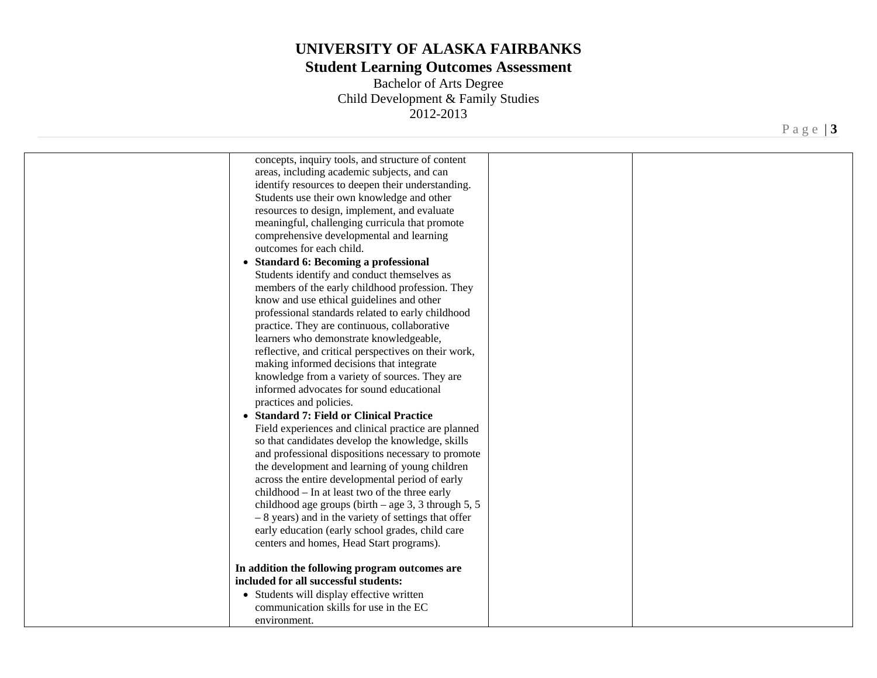## **Student Learning Outcomes Assessment**

Bachelor of Arts Degree Child Development & Family Studies 2012-2013

Page | **3** 

| concepts, inquiry tools, and structure of content<br>areas, including academic subjects, and can<br>identify resources to deepen their understanding.<br>Students use their own knowledge and other<br>resources to design, implement, and evaluate<br>meaningful, challenging curricula that promote<br>comprehensive developmental and learning<br>outcomes for each child.<br>• Standard 6: Becoming a professional<br>Students identify and conduct themselves as<br>members of the early childhood profession. They<br>know and use ethical guidelines and other<br>professional standards related to early childhood<br>practice. They are continuous, collaborative<br>learners who demonstrate knowledgeable,<br>reflective, and critical perspectives on their work,<br>making informed decisions that integrate<br>knowledge from a variety of sources. They are<br>informed advocates for sound educational<br>practices and policies.<br>• Standard 7: Field or Clinical Practice<br>Field experiences and clinical practice are planned<br>so that candidates develop the knowledge, skills<br>and professional dispositions necessary to promote<br>the development and learning of young children<br>across the entire developmental period of early |  |
|---------------------------------------------------------------------------------------------------------------------------------------------------------------------------------------------------------------------------------------------------------------------------------------------------------------------------------------------------------------------------------------------------------------------------------------------------------------------------------------------------------------------------------------------------------------------------------------------------------------------------------------------------------------------------------------------------------------------------------------------------------------------------------------------------------------------------------------------------------------------------------------------------------------------------------------------------------------------------------------------------------------------------------------------------------------------------------------------------------------------------------------------------------------------------------------------------------------------------------------------------------------------|--|
|                                                                                                                                                                                                                                                                                                                                                                                                                                                                                                                                                                                                                                                                                                                                                                                                                                                                                                                                                                                                                                                                                                                                                                                                                                                                     |  |
| childhood - In at least two of the three early<br>childhood age groups (birth $-$ age 3, 3 through 5, 5<br>$-8$ years) and in the variety of settings that offer<br>early education (early school grades, child care<br>centers and homes, Head Start programs).                                                                                                                                                                                                                                                                                                                                                                                                                                                                                                                                                                                                                                                                                                                                                                                                                                                                                                                                                                                                    |  |
| In addition the following program outcomes are<br>included for all successful students:<br>• Students will display effective written<br>communication skills for use in the EC<br>environment.                                                                                                                                                                                                                                                                                                                                                                                                                                                                                                                                                                                                                                                                                                                                                                                                                                                                                                                                                                                                                                                                      |  |